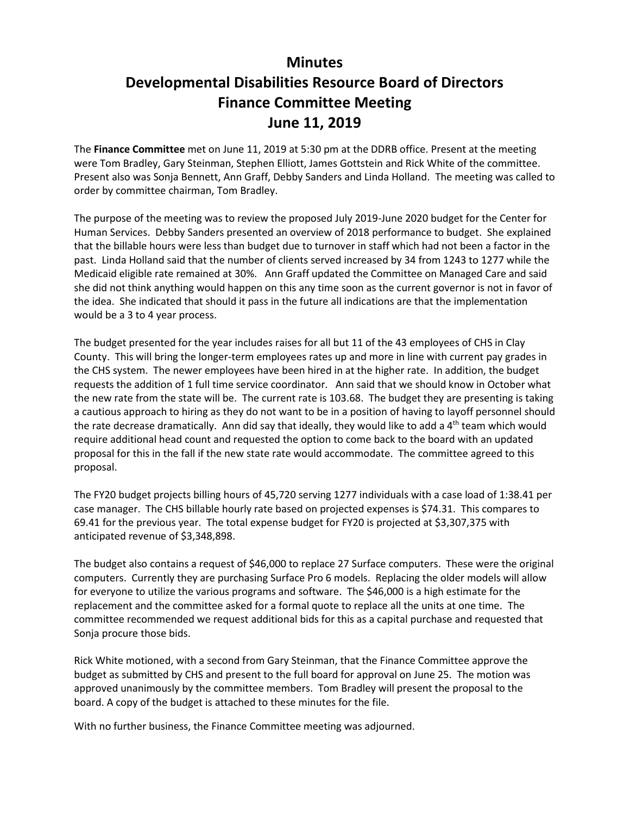## **Minutes Developmental Disabilities Resource Board of Directors Finance Committee Meeting June 11, 2019**

The **Finance Committee** met on June 11, 2019 at 5:30 pm at the DDRB office. Present at the meeting were Tom Bradley, Gary Steinman, Stephen Elliott, James Gottstein and Rick White of the committee. Present also was Sonja Bennett, Ann Graff, Debby Sanders and Linda Holland. The meeting was called to order by committee chairman, Tom Bradley.

The purpose of the meeting was to review the proposed July 2019-June 2020 budget for the Center for Human Services. Debby Sanders presented an overview of 2018 performance to budget. She explained that the billable hours were less than budget due to turnover in staff which had not been a factor in the past. Linda Holland said that the number of clients served increased by 34 from 1243 to 1277 while the Medicaid eligible rate remained at 30%. Ann Graff updated the Committee on Managed Care and said she did not think anything would happen on this any time soon as the current governor is not in favor of the idea. She indicated that should it pass in the future all indications are that the implementation would be a 3 to 4 year process.

The budget presented for the year includes raises for all but 11 of the 43 employees of CHS in Clay County. This will bring the longer-term employees rates up and more in line with current pay grades in the CHS system. The newer employees have been hired in at the higher rate. In addition, the budget requests the addition of 1 full time service coordinator. Ann said that we should know in October what the new rate from the state will be. The current rate is 103.68. The budget they are presenting is taking a cautious approach to hiring as they do not want to be in a position of having to layoff personnel should the rate decrease dramatically. Ann did say that ideally, they would like to add a  $4<sup>th</sup>$  team which would require additional head count and requested the option to come back to the board with an updated proposal for this in the fall if the new state rate would accommodate. The committee agreed to this proposal.

The FY20 budget projects billing hours of 45,720 serving 1277 individuals with a case load of 1:38.41 per case manager. The CHS billable hourly rate based on projected expenses is \$74.31. This compares to 69.41 for the previous year. The total expense budget for FY20 is projected at \$3,307,375 with anticipated revenue of \$3,348,898.

The budget also contains a request of \$46,000 to replace 27 Surface computers. These were the original computers. Currently they are purchasing Surface Pro 6 models. Replacing the older models will allow for everyone to utilize the various programs and software. The \$46,000 is a high estimate for the replacement and the committee asked for a formal quote to replace all the units at one time. The committee recommended we request additional bids for this as a capital purchase and requested that Sonja procure those bids.

Rick White motioned, with a second from Gary Steinman, that the Finance Committee approve the budget as submitted by CHS and present to the full board for approval on June 25. The motion was approved unanimously by the committee members. Tom Bradley will present the proposal to the board. A copy of the budget is attached to these minutes for the file.

With no further business, the Finance Committee meeting was adjourned.